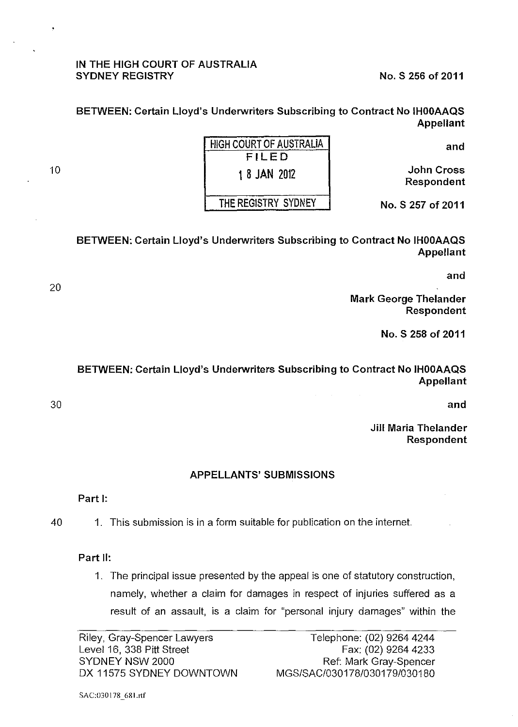#### IN THE HIGH COURT OF AUSTRALIA SYDNEY REGISTRY No. S 256 of 2011

BETWEEN: Certain Lloyd's Underwriters Subscribing to Contract No IHOOAAQS Appellant

and

John Cross Respondent

| HIGH COURT OF AUSTRALIA |
|-------------------------|
| FILED                   |
| 1 8 JAN 2012            |
| THE REGISTRY SYDNEY     |

No. S 257 of 2011

BETWEEN: Certain Lloyd's Underwriters Subscribing to Contract No IHOOAAQS Appellant

and

Mark George Thelander Respondent

No. S 258 of 2011

# BETWEEN: Certain Lloyd's Underwriters Subscribing to Contract No IHOOAAQS Appellant

and

Jill Maria Thelander Respondent

## APPELLANTS' SUBMISSIONS

## Part 1:

40 1. This submission is in a form suitable for publication on the internet.

## Part II:

1. The principal issue presented by the appeal is one of statutory construction, namely, whether a claim for damages in respect of injuries suffered as a result of an assault, is a claim for "personal injury damages" within the

Riley, Gray-Spencer Lawyers Level 16, 338 Pitt Street SYDNEY NSW 2000 DX 11575 SYDNEY DOWNTOWN

10

20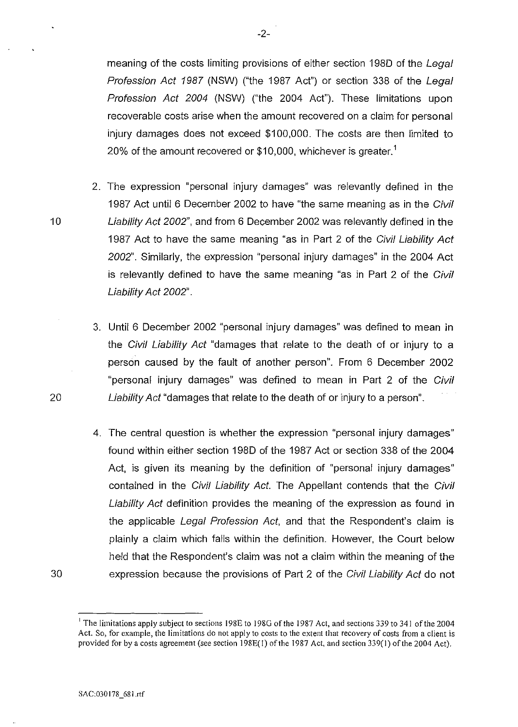meaning of the costs limiting provisions of either section 198D of the Legal Profession Act 1987 (NSW) ("the 1987 Act") or section 338 of the Legal Profession Act 2004 (NSW) ("the 2004 Act"). These limitations upon recoverable costs arise when the amount recovered on a claim for personal injury damages does not exceed \$100,000. The costs are then limited to 20% of the amount recovered or \$10,000, whichever is greater.<sup>1</sup>

- 2. The expression "personal injury damages" was relevantly defined in the 1987 Act until 6 December 2002 to have "the same meaning as in the Civil Liability Act 2002", and from 6 December 2002 was relevantly defined in the 1987 Act to have the same meaning "as in Part 2 of the Civil Liability Act 2002". Similarly, the expression "personal injury damages" in the 2004 Act is relevantly defined to have the same meaning "as in Part 2 of the Civil Liability Act 2002".
- 3. Until 6 December 2002 "personal injury damages" was defined to mean in the Civil Liability Act "damages that relate to the death of or injury to a person caused by the fault of another person". From 6 December 2002 "personal injury damages" was defined to mean in Part 2 of the Civil Liability Act "damages that relate to the death of or injury to a person".
- 4. The central question is whether the expression "personal injury damages" found within either section 198D of the 1987 Act or section 338 of the 2004 Act, is given its meaning by the definition of "personal injury damages" contained in the Civil Liability Act. The Appellant contends that the Civil Liability Act definition provides the meaning of the expression as found in the applicable Legal Profession Act, and that the Respondent's claim is plainly a claim which falls within the definition. However, the Court below held that the Respondent's claim was not a claim within the meaning of the expression because the provisions of Part 2 of the Civil Liability Act do not

-2-

20

30

<sup>&</sup>lt;sup>1</sup> The limitations apply subject to sections 198E to 198G of the 1987 Act, and sections 339 to 341 of the 2004 **Act. So, for example, the limitations do not apply to costs to the extent that recovery of costs from a client is**  provided for by a costs agreement (see section 198E(l) of the 1987 Act, and section 339(1) of the 2004 Act).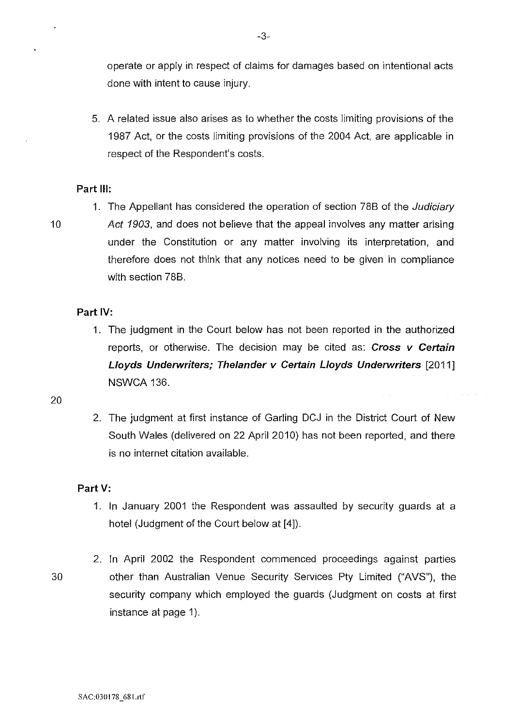operate or apply in respect of claims for damages based on intentional acts done with intent to cause injury.

5. A related issue also arises as to whether the costs limiting provisions of the 1987 Act, or the costs limiting provisions of the 2004 Act, are applicable in respect of the Respondent's costs.

## **Part Ill:**

- 
- 1. The Appellant has considered the operation of section 788 of the Judiciary 10 Act 1903, and does not believe that the appeal involves any matter arising under the Constitution or any matter involving its interpretation, and therefore does not think that any notices need to be given in compliance with section 788.

### **Part IV:**

- 1. The judgment in the Court below has not been reported in the authorized reports, or otherwise. The decision may be cited as: **Cross v Certain Lloyds Underwriters; Thelander v Certain Lloyds Underwriters** [2011] NSWCA 136.
- 20
- 2. The judgment at first instance of Garling DCJ in the District Court of New South Wales (delivered on 22 April 2010) has not been reported, and there is no internet citation available.

#### **Part V:**

1. In January 2001 the Respondent was assaulted by security guards at a hotel (Judgment of the Court below at [4]).

2. In April 2002 the Respondent commenced proceedings against parties 30 other than Australian Venue Security Services Pty Limited ("AVS"), the security company which employed the guards (Judgment on costs at first instance at page 1).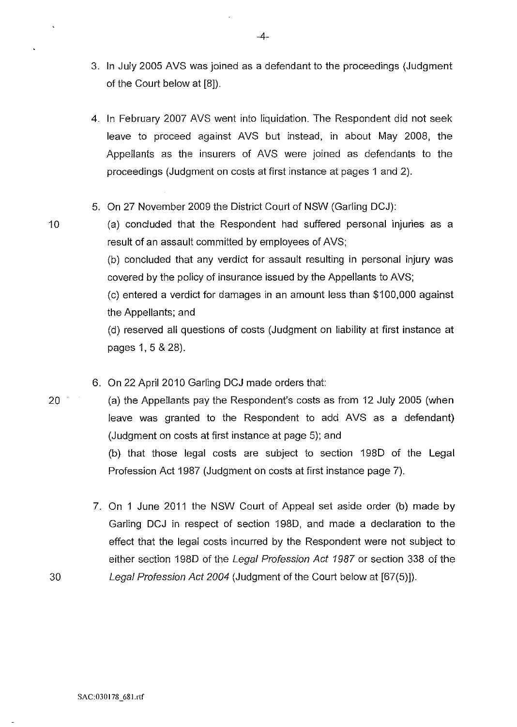- 3. In July 2005 AVS was joined as a defendant to the proceedings (Judgment of the Court below at [8]).
- 4. In February 2007 AVS went into liquidation. The Respondent did not seek leave to proceed against AVS but instead, in about May 2008, the Appellants as the insurers of AVS were joined as defendants to the proceedings (Judgment on costs at first instance at pages 1 and 2).
- 5. On 27 November 2009 the District Court of NSW (Garling DCJ):
- 10 (a) concluded that the Respondent had suffered personal injuries as a result of an assault committed by employees of AVS;

(b) concluded that any verdict for assault resulting in personal injury was covered by the policy of insurance issued by the Appellants to AVS;

(c) entered a verdict for damages in an amount less than \$100,000 against the Appellants; and

(d) reserved all questions of costs (Judgment on liability at first instance at pages 1, 5 & 28).

6. On 22 April 2010 Garling DCJ made orders that:

20 (a) the Appellants pay the Respondent's costs as from 12 July 2005 (when leave was granted to the Respondent to add AVS as a defendant) (Judgment on costs at first instance at page 5); and

> (b) that those legal costs are subject to section 1980 of the Legal Profession Act 1987 (Judgment on costs at first instance page 7).

7. On 1 June 2011 the NSW Court of Appeal set aside order (b) made by Garling DCJ in respect of section 1980, and made a declaration to the effect that the legal costs incurred by the Respondent were not subject to either section 1980 of the Legal Profession Act 1987 or section 338 of the 30 Legal Profession Act 2004 (Judgment of the Court below at [67(5)]).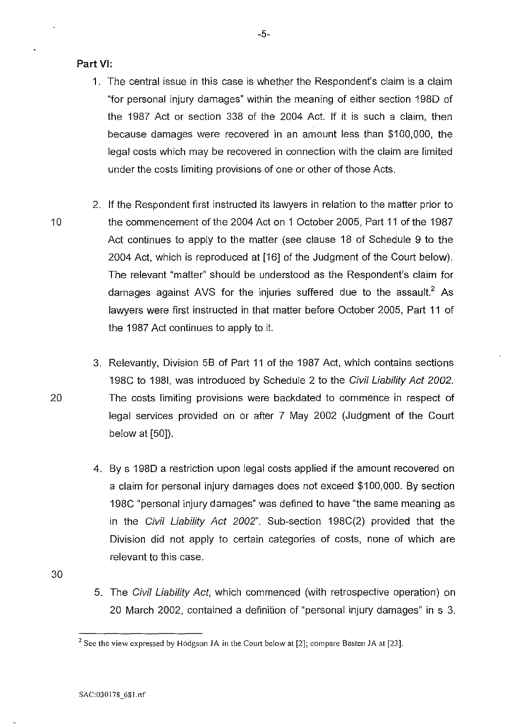### **Part VI:**

- 1. The central issue in this case is whether the Respondent's claim is a claim "for personal injury damages" within the meaning of either section 1980 of the 1987 Act or section 338 of the 2004 Act. If it is such a claim, then because damages were recovered in an amount less than \$100,000, the legal costs which may be recovered in connection with the claim are limited under the costs limiting provisions of one or other of those Acts.
- 2. If the Respondent first instructed its lawyers in relation to the matter prior to 10 the commencement of the 2004 Act on 1 October 2005, Part 11 of the 1987 Act continues to apply to the matter (see clause 18 of Schedule 9 to the 2004 Act, which is reproduced at [16] of the Judgment of the Court below). The relevant "matter" should be understood as the Respondent's claim for damages against AVS for the injuries suffered due to the assault.<sup>2</sup> As lawyers were first instructed in that matter before October 2005, Part 11 of the 1987 Act continues to apply to it.
- 3. Relevantly, Division 58 of Part 11 of the 1987 Act, which contains sections 198C to 1981, was introduced by Schedule 2 to the Civil Liability Act 2002. 20 The costs limiting provisions were backdated to commence in respect of legal services provided on or after 7 May 2002 (Judgment of the Court below at [50]).
	- 4. By s 198D a restriction upon legal costs applied if the amount recovered on a claim for personal injury damages does not exceed \$100,000. By section 198C "personal injury damages" was defined to have "the same meaning as in the Civil Liability Act 2002". Sub-section 198C(2) provided that the Division did not apply to certain categories of costs, none of which are relevant to this case.

30

5. The Civil Liability Act, which commenced (with retrospective operation) on 20 March 2002, contained a definition of "personal injury damages" in s 3.

<sup>&</sup>lt;sup>2</sup> See the view expressed by Hodgson JA in the Court below at [2]; compare Basten JA at [23].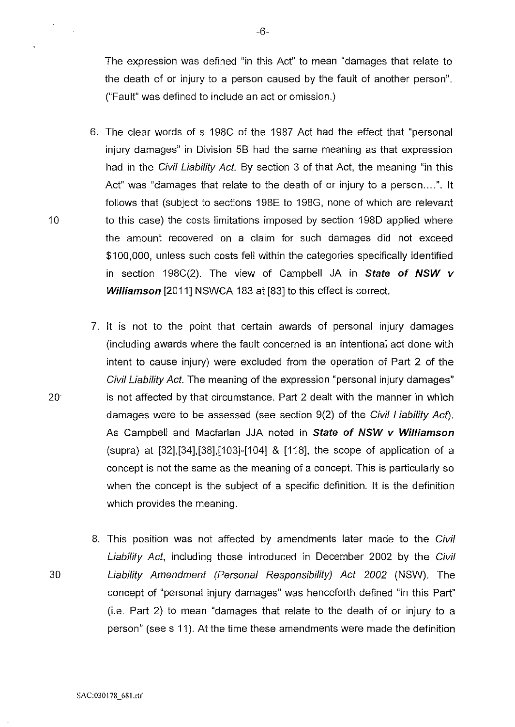The expression was defined "in this Act" to mean "damages that relate to the death of or injury to a person caused by the fault of another person". ("Fault" was defined to include an act or omission.)

- 6. The clear words of s 198C of the 1987 Act had the effect that "personal injury damages" in Division 5B had the same meaning as that expression had in the Civil Liability Act. By section 3 of that Act, the meaning "in this Act" was "damages that relate to the death of or injury to a person....". It follows that (subject to sections 198E to 198G, none of which are relevant 10 to this case) the costs limitations imposed by section 1980 applied where the amount recovered on a claim for such damages did not exceed \$100,000, unless such costs fell within the categories specifically identified in section 198C(2). The view of Campbell JA in **State of NSW v Williamson** [2011] NSWCA 183 at [83] to this effect is correct.
- 7. It is not to the point that certain awards of personal injury damages (including awards where the fault concerned is an intentional act done with intent to cause injury) were excluded from the operation of Part 2 of the Civil Liability Act. The meaning of the expression "personal injury damages" 20 is not affected by that circumstance. Part 2 dealt with the manner in which damages were to be assessed (see section 9(2) of the Civil Liability Act). As Campbell and Macfarlan JJA noted in **State of NSW v Williamson**  (supra) at  $[32]$ , $[34]$ , $[38]$ , $[103]$ - $[104]$  &  $[118]$ , the scope of application of a concept is not the same as the meaning of a concept. This is particularly so when the concept is the subject of a specific definition. It is the definition which provides the meaning.
- 8. This position was not affected by amendments later made to the Civil Liability Act, including those introduced in December 2002 by the Civil 30 Liability Amendment (Personal Responsibility) Act 2002 (NSW). The concept of "personal injury damages" was henceforth defined "in this Part" (i.e. Part 2) to mean "damages that relate to the death of or injury to a person" (see s 11 ). At the time these amendments were made the definition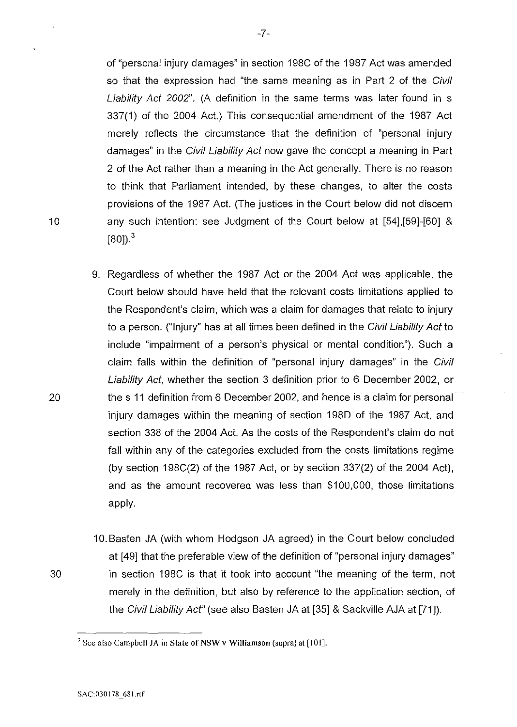of "personal injury damages" in section 198C of the 1987 Act was amended so that the expression had "the same meaning as in Part 2 of the Civil Liability Act 2002". (A definition in the same terms was later found in s 337(1) of the 2004 Act.) This consequential amendment of the 1987 Act merely reflects the circumstance that the definition of "personal injury damages" in the Civil Liability Act now gave the concept a meaning in Part 2 of the Act rather than a meaning in the Act generally. There is no reason to think that Parliament intended, by these changes, to alter the costs provisions of the 1987 Act. (The justices in the Court below did not discern 10 any such intention: see Judgment of the Court below at [54],[59]-[60] &  $[80]$ <sup>3</sup>

- 9. Regardless of whether the 1987 Act or the 2004 Act was applicable, the Court below should have held that the relevant costs limitations applied to the Respondent's claim, which was a claim for damages that relate to injury to a person. ("Injury" has at all times been defined in the Civil Liability Act to include "impairment of a person's physical or mental condition"). Such a claim falls within the definition of "personal injury damages" in the Civil Liability Act, whether the section 3 definition prior to 6 December 2002, or 20 the s 11 definition from 6 December 2002, and hence is a claim for personal injury damages within the meaning of section 198D of the 1987 Act, and section 338 of the 2004 Act. As the costs of the Respondent's claim do not fall within any of the categories excluded from the costs limitations regime (by section 198C(2) of the 1987 Act, or by section 337(2) of the 2004 Act), and as the amount recovered was less than \$100,000, those limitations apply.
- 10. Basten JA (with whom Hodgson JA agreed) in the Court below concluded at [49] that the preferable view of the definition of "personal injury damages" 30 in section 198C is that it took into account "the meaning of the term, not merely in the definition, but also by reference to the application section, of the Civil Liability Act" (see also Basten JA at [35] & Sackville AJA at [71]).

-7-

 $3$  See also Campbell JA in State of NSW v Williamson (supra) at [101].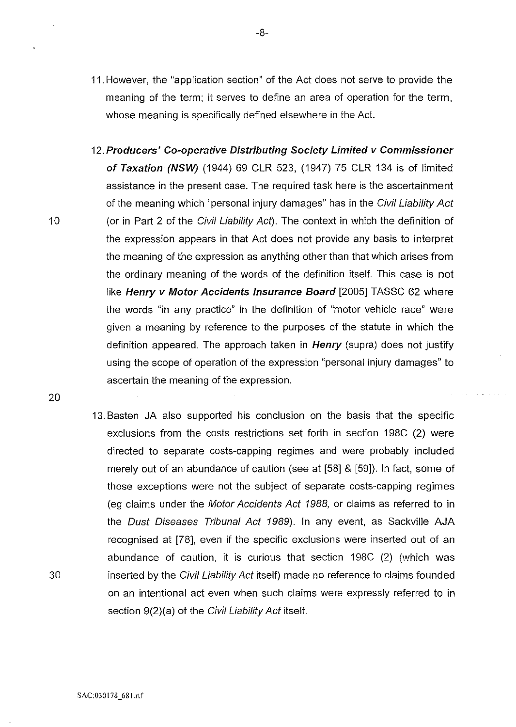- 11. However, the "application section" of the Act does not serve to provide the meaning of the term; it serves to define an area of operation for the term, whose meaning is specifically defined elsewhere in the Act.
- 12. **Producers' Co-operative Distributing Society Limited v Commissioner of Taxation (NSW)** (1944) 69 CLR 523, (1947) 75 CLR 134 is of limited assistance in the present case. The required task here is the ascertainment of the meaning which "personal injury damages" has in the Civil Liability Act (or in Part 2 of the Civil Liability Act). The context in which the definition of the expression appears in that Act does not provide any basis to interpret the meaning of the expression as anything other than that which arises from the ordinary meaning of the words of the definition itself. This case is not like Henry v Motor Accidents Insurance Board [2005] TASSC 62 where the words "in any practice" in the definition of "motor vehicle race" were given a meaning by reference to the purposes of the statute in which the definition appeared. The approach taken in **Henry** (supra) does not justify using the scope of operation of the expression "personal injury damages" to ascertain the meaning of the expression.
- 13. Basten JA also supported his conclusion on the basis that the specific exclusions from the costs restrictions set forth in section 198C (2) were directed to separate costs-capping regimes and were probably included merely out of an abundance of caution (see at [58] & [59]). In fact, some of those exceptions were not the subject of separate costs-capping regimes (eg claims under the Motor Accidents Act 1988, or claims as referred to in the Dust Diseases Tribunal Act 1989). In any event, as Sackville AJA recognised at [78], even if the specific exclusions were inserted out of an abundance of caution, it is curious that section 198C (2) (which was inserted by the Civil Liability Act itself) made no reference to claims founded on an intentional act even when such claims were expressly referred to in section 9(2)(a) of the Civil Liability Act itself.

20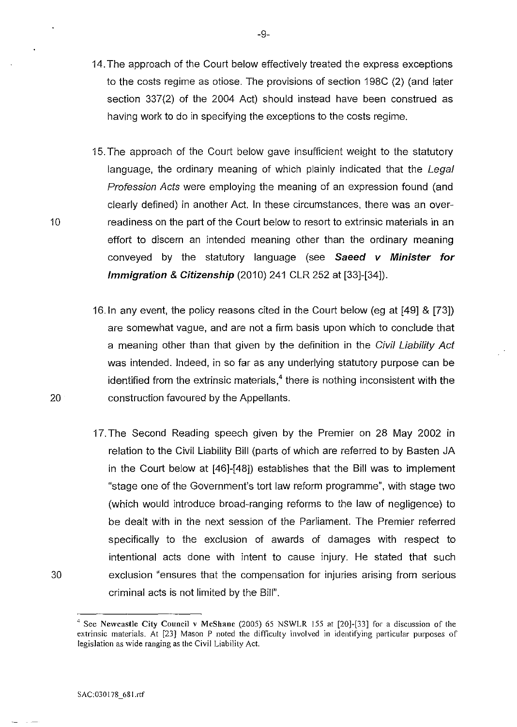- 14. The approach of the Court below effectively treated the express exceptions to the costs regime as otiose. The provisions of section 198C (2) (and later section 337(2) of the 2004 Act) should instead have been construed as having work to do in specifying the exceptions to the costs regime.
- 15. The approach of the Court below gave insufficient weight to the statutory language, the ordinary meaning of which plainly indicated that the Legal Profession Acts were employing the meaning of an expression found (and clearly defined) in another Act. In these circumstances, there was an overreadiness on the part of the Court below to resort to extrinsic materials in an effort to discern an intended meaning other than the ordinary meaning conveyed by the statutory language (see **Saeed v Minister for Immigration & Citizenship** (2010) 241 CLR 252 at [33]-[34]).
- 16.1n any event, the policy reasons cited in the Court below (eg at [49] & [73]) are somewhat vague, and are not a firrn basis upon which to conclude that a meaning other than that given by the definition in the Civil Liability Act was intended. Indeed, in so far as any underlying statutory purpose can be identified from the extrinsic materials,<sup>4</sup> there is nothing inconsistent with the construction favoured by the Appellants.
- 17. The Second Reading speech given by the Premier on 28 May 2002 in relation to the Civil Liability Bill (parts of which are referred to by Basten JA in the Court below at [46]-[48]) establishes that the Bill was to implement "stage one of the Government's tort law reform programme", with stage two (which would introduce broad-ranging reforms to the law of negligence) to be dealt with in the next session of the Parliament. The Premier referred specifically to the exclusion of awards of damages with respect to intentional acts done with intent to cause injury. He stated that such exclusion "ensures that the compensation for injuries arising from serious criminal acts is not limited by the Bill".

10

20

<sup>&</sup>lt;sup>4</sup> See Newcastle City Council v McShane (2005) 65 NSWLR 155 at [20]-[33] for a discussion of the **extrinsic materials. At [23] Mason P noted the difficulty involved in identifying particular purposes of legislation as wide ranging as the Civil Liability Act.**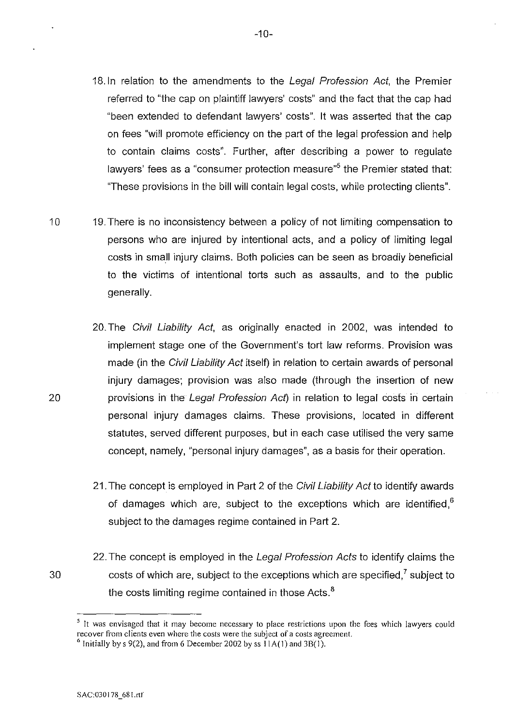- 18. In relation to the amendments to the Legal Profession Act, the Premier referred to "the cap on plaintiff lawyers' costs" and the fact that the cap had "been extended to defendant lawyers' costs". It was asserted that the cap on fees "will promote efficiency on the part of the legal profession and help to contain claims costs". Further, after describing a power to regulate lawyers' fees as a "consumer protection measure"<sup>5</sup> the Premier stated that: "These provisions in the bill will contain legal costs, while protecting clients".
- 10 19.There is no inconsistency between a policy of not limiting compensation to persons who are injured by intentional acts, and a policy of limiting legal costs in small injury claims. Both policies can be seen as broadly beneficial to the victims of intentional torts such as assaults, and to the public generally.
	- 20. The Civil Liability Act, as originally enacted in 2002, was intended to implement stage one of the Government's tort law reforms. Provision was made (in the Civil Liability Act itself) in relation to certain awards of personal injury damages; provision was also made (through the insertion of new provisions in the Legal Profession Act) in relation to legal costs in certain personal injury damages claims. These provisions, located in different statutes, served different purposes, but in each case utilised the very same concept, namely, "personal injury damages", as a basis for their operation.
	- 21. The concept is employed in Part 2 of the Civil Liability Act to identify awards of damages which are, subject to the exceptions which are identified,<sup>6</sup> subject to the damages regime contained in Part 2.
	- 22. The concept is employed in the Legal Profession Acts to identify claims the costs of which are, subject to the exceptions which are specified,<sup> $7$ </sup> subject to the costs limiting regime contained in those Acts.<sup>8</sup>

*<sup>5</sup>***It was envisaged that it may become necessary to place restrictions upon the fees which lawyers could recover from clients even where the costs were the subject of a costs agreement.** 6 Initially by s 9(2), and from 6 December 2002 by ss I lA( I) and 3B(I).

20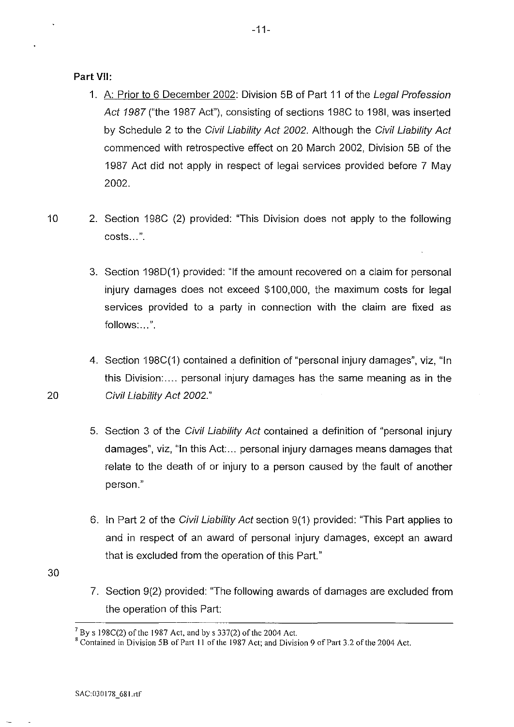**Part** VII:

- 1. A: Prior to 6 December 2002: Division 58 of Part 11 of the Legal Profession Act 1987 ("the 1987 Act"), consisting of sections 198C to 1981, was inserted by Schedule 2 to the Civil Liability Act 2002. Although the Civil Liability Act commenced with retrospective effect on 20 March 2002, Division 58 of the 1987 Act did not apply in respect of legal services provided before 7 May 2002.
- 10 2. Section 198C (2) provided: "This Division does not apply to the following costs ... ".
	- 3. Section 198D(1) provided: "If the amount recovered on a claim for personal injury damages does not exceed \$100,000, the maximum costs for legal services provided to a party in connection with the claim are fixed as follows:...".
- 4. Section 198C(1) contained a definition of "personal injury damages", viz, "In this Division: .... personal injury damages has the same meaning as in the 20 Civil Liability Act 2002."
	- 5. Section 3 of the Civil Liability Act contained a definition of "personal injury damages", viz, "In this Act:... personal injury damages means damages that relate to the death of or injury to a person caused by the fault of another person."
	- 6. In Part 2 of the Civil Liability Act section 9(1) provided: "This Part applies to and in respect of an award of personal injury damages, except an award that is excluded from the operation of this Part."
- 30
- 7. Section 9(2} provided: "The following awards of damages are excluded from the operation of this Part:

 $7$  By s 198C(2) of the 1987 Act, and by s 337(2) of the 2004 Act.

<sup>&</sup>lt;sup>8</sup> Contained in Division 5B of Part 11 of the 1987 Act; and Division 9 of Part 3.2 of the 2004 Act.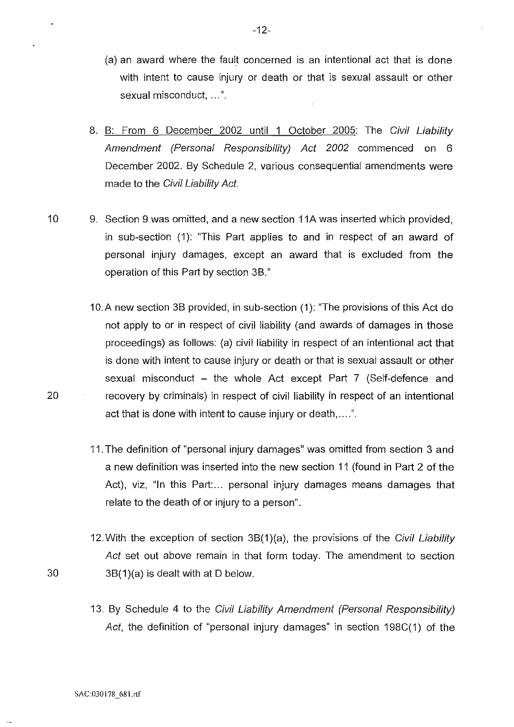- (a) an award where the fault concerned is an intentional act that is done with intent to cause injury or death or that is sexual assault or other sexual misconduct, ... ".
- 8. B: From 6 December 2002 until 1 October 2005: The Civil Liability Amendment (Personal Responsibility) Act 2002 commenced on 6 December 2002. By Schedule 2, various consequential amendments were made to the Civil Liability Act.
- 10 9. Section 9 was omitted, and a new section 11A was inserted which provided, in sub-section (1): "This Part applies to and in respect of an award of personal injury damages, except an award that is excluded from the operation of this Part by section 3B."
- 1 O.A new section 3B provided, in sub-section (1 ): "The provisions of this Act do not apply to or in respect of civil liability (and awards of damages in those proceedings) as follows: (a) civil liability in respect of an intentional act that is done with intent to cause injury or death or that is sexual assault or other sexual misconduct  $-$  the whole Act except Part 7 (Self-defence and 20 recovery by criminals) in respect of civil liability in respect of an intentional act that is done with intent to cause injury or death,....".
	- 11. The definition of "personal injury damages" was omitted from section 3 and a new definition was inserted into the new section 11 (found in Part 2 of the Act), viz, "In this Part:... personal injury damages means damages that relate to the death of or injury to a person".
- 12. With the exception of section  $3B(1)(a)$ , the provisions of the Civil Liability Act set out above remain in that form today. The amendment to section 30 3B(1)(a) is dealt with at D below.
	- 13. By Schedule 4 to the Civil Liability Amendment (Personal Responsibility) Act, the definition of "personal injury damages" in section 198C(1) of the

SAC:030178 681.rtf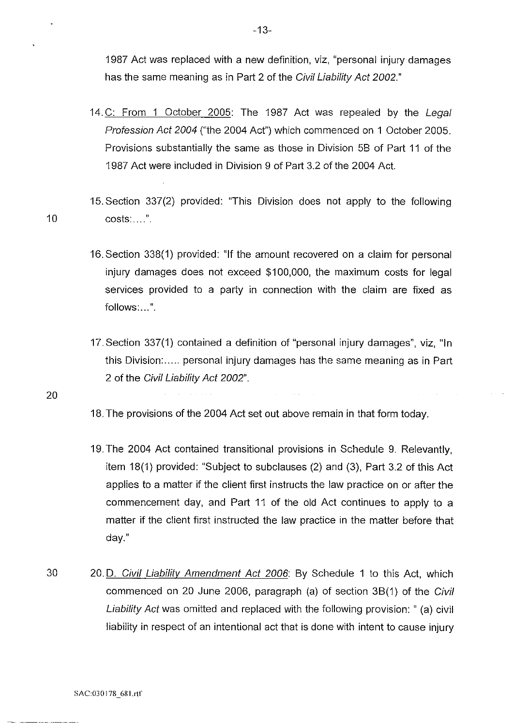1987 Act was replaced with a new definition, viz, "personal injury damages has the same meaning as in Part 2 of the Civil Liability Act 2002."

- 14. C: From 1 October 2005: The 1987 Act was repealed by the Legal Profession Act 2004 ("the 2004 Act") which commenced on 1 October 2005. Provisions substantially the same as those in Division 58 of Part 11 of the 1987 Act were included in Division 9 of Part 3.2 of the 2004 Act.
- 15. Section 337(2) provided: "This Division does not apply to the following 10 costs: .... ".
	- 16. Section 338(1) provided: "If the amount recovered on a claim for personal injury damages does not exceed \$100,000, the maximum costs for legal services provided to a party in connection with the claim are fixed as follows:...".
	- 17.Section 337(1) contained a definition of "personal injury damages", viz, "In this Division: ..... personal injury damages has the same meaning as in Part 2 of the Civil Liability Act 2002".

- 18. The provisions of the 2004 Act set out above remain in that form today.
- 19. The 2004 Act contained transitional provisions in Schedule 9. Relevantly, item 18(1) provided: "Subject to subclauses (2) and (3), Part 3.2 of this Act applies to a matter if the client first instructs the law practice on or after the commencement day, and Part 11 of the old Act continues to apply to a matter if the client first instructed the law practice in the matter before that day."
- 30 20. D. Civil Liability Amendment Act 2006: By Schedule 1 to this Act, which commenced on 20 June 2006, paragraph (a) of section 38(1) of the Civil Liability Act was omitted and replaced with the following provision: " (a) civil liability in respect of an intentional act that is done with intent to cause injury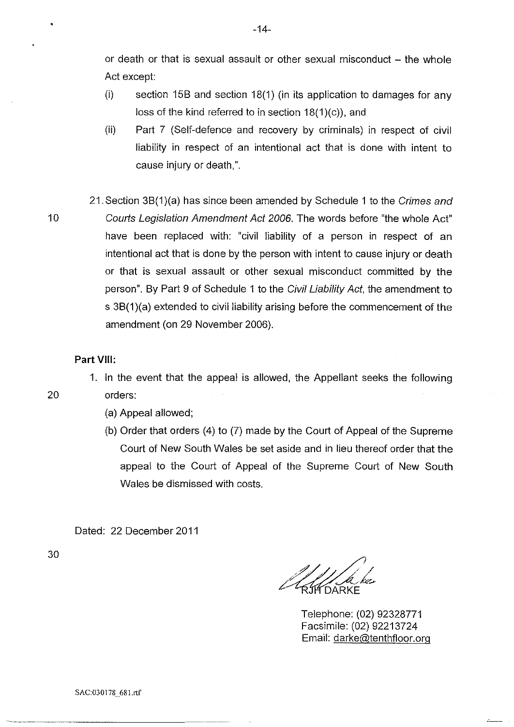or death or that is sexual assault or other sexual misconduct  $-$  the whole Act except:

- (i) section 15B and section 18(1) (in its application to damages for any loss of the kind referred to in section  $18(1)(c)$ , and
- (ii) Part 7 (Self-defence and recovery by criminals) in respect of civil liability in respect of an intentional act that is done with intent to cause injury or death,".
- 21.Section 3B(1)(a) has since been amended by Schedule 1 to the Crimes and 10 Courts Legislation Amendment Act 2006. The words before "the whole Act" have been replaced with: "civil liability of a person in respect of an intentional act that is done by the person with intent to cause injury or death or that is sexual assault or other sexual misconduct committed by the person". By Part 9 of Schedule 1 to the Civil Liability Act, the amendment to s 3B(1)(a) extended to civil liability arising before the commencement of the amendment (on 29 November 2006).

#### **Part** VIII:

1. In the event that the appeal is allowed, the Appellant seeks the following 20 orders:

- (a) Appeal allowed;
- (b) Order that orders (4) to (7) made by the Court of Appeal of the Supreme Court of New South Wales be set aside and in lieu thereof order that the appeal to the Court of Appeal of the Supreme Court of New South Wales be dismissed with costs.

Dated: 22 December 2011

Telephone: (02) 92328771 Facsimile: (02) 92213724 Email: darke@tenthfloor.org